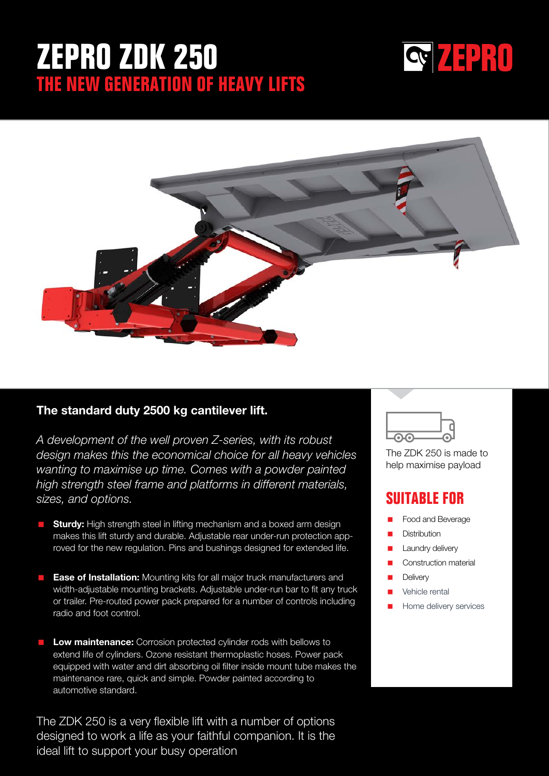# **ZEPRO ZDK 250 THE NEW GENERATION OF HEAVY LIFTS**





## The standard duty 2500 kg cantilever lift.

*A development of the well proven Z-series, with its robust design makes this the economical choice for all heavy vehicles wanting to maximise up time. Comes with a powder painted high strength steel frame and platforms in different materials, sizes, and options.* 

- **Sturdy:** High strength steel in lifting mechanism and a boxed arm design makes this lift sturdy and durable. Adjustable rear under-run protection approved for the new regulation. Pins and bushings designed for extended life.
- **Ease of Installation:** Mounting kits for all major truck manufacturers and width-adjustable mounting brackets. Adjustable under-run bar to fit any truck or trailer. Pre-routed power pack prepared for a number of controls including radio and foot control.
- **Low maintenance:** Corrosion protected cylinder rods with bellows to extend life of cylinders. Ozone resistant thermoplastic hoses. Power pack equipped with water and dirt absorbing oil filter inside mount tube makes the maintenance rare, quick and simple. Powder painted according to automotive standard.

The ZDK 250 is a very flexible lift with a number of options designed to work a life as your faithful companion. It is the ideal lift to support your busy operation



The ZDK 250 is made to help maximise payload

## **SUITABLE FOR**

- Food and Beverage
- **Distribution**
- Laundry delivery
- Construction material
- **Delivery**
- Vehicle rental
- Home delivery services